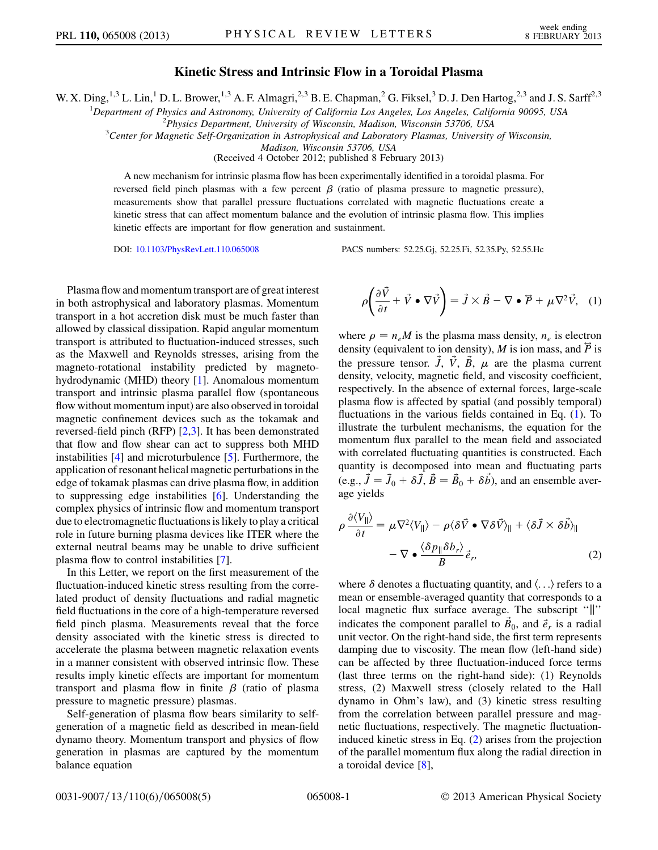## Kinetic Stress and Intrinsic Flow in a Toroidal Plasma

W. X. Ding,<sup>1,3</sup> L. Lin,<sup>1</sup> D. L. Brower,<sup>1,3</sup> A. F. Almagri,<sup>2,3</sup> B. E. Chapman,<sup>2</sup> G. Fiksel,<sup>3</sup> D. J. Den Hartog,<sup>2,3</sup> and J. S. Sarff<sup>2,3</sup>

<sup>1</sup>Department of Physics and Astronomy, University of California Los Angeles, Los Angeles, California 90095, USA<br><sup>2</sup>Physics Danartment, University of Wisconsin, Madison, Wisconsin, 53706, USA

 $2$ Physics Department, University of Wisconsin, Madison, Wisconsin 53706, USA

<sup>3</sup>Center for Magnetic Self-Organization in Astrophysical and Laboratory Plasmas, University of Wisconsin,

Madison, Wisconsin 53706, USA

(Received 4 October 2012; published 8 February 2013)

A new mechanism for intrinsic plasma flow has been experimentally identified in a toroidal plasma. For reversed field pinch plasmas with a few percent  $\beta$  (ratio of plasma pressure to magnetic pressure), measurements show that parallel pressure fluctuations correlated with magnetic fluctuations create a kinetic stress that can affect momentum balance and the evolution of intrinsic plasma flow. This implies kinetic effects are important for flow generation and sustainment.

DOI: [10.1103/PhysRevLett.110.065008](http://dx.doi.org/10.1103/PhysRevLett.110.065008) PACS numbers: 52.25.Gj, 52.25.Fi, 52.35.Py, 52.55.Hc

Plasma flow and momentum transport are of great interest in both astrophysical and laboratory plasmas. Momentum transport in a hot accretion disk must be much faster than allowed by classical dissipation. Rapid angular momentum transport is attributed to fluctuation-induced stresses, such as the Maxwell and Reynolds stresses, arising from the magneto-rotational instability predicted by magnetohydrodynamic (MHD) theory [\[1\]](#page-3-0). Anomalous momentum transport and intrinsic plasma parallel flow (spontaneous flow without momentum input) are also observed in toroidal magnetic confinement devices such as the tokamak and reversed-field pinch (RFP) [[2](#page-3-1),[3\]](#page-3-2). It has been demonstrated that flow and flow shear can act to suppress both MHD instabilities [[4](#page-3-3)] and microturbulence [[5](#page-4-0)]. Furthermore, the application of resonant helical magnetic perturbations in the edge of tokamak plasmas can drive plasma flow, in addition to suppressing edge instabilities [\[6](#page-4-1)]. Understanding the complex physics of intrinsic flow and momentum transport due to electromagnetic fluctuations is likely to play a critical role in future burning plasma devices like ITER where the external neutral beams may be unable to drive sufficient plasma flow to control instabilities [[7](#page-4-2)].

In this Letter, we report on the first measurement of the fluctuation-induced kinetic stress resulting from the correlated product of density fluctuations and radial magnetic field fluctuations in the core of a high-temperature reversed field pinch plasma. Measurements reveal that the force density associated with the kinetic stress is directed to accelerate the plasma between magnetic relaxation events in a manner consistent with observed intrinsic flow. These results imply kinetic effects are important for momentum transport and plasma flow in finite  $\beta$  (ratio of plasma pressure to magnetic pressure) plasmas.

Self-generation of plasma flow bears similarity to selfgeneration of a magnetic field as described in mean-field dynamo theory. Momentum transport and physics of flow generation in plasmas are captured by the momentum balance equation

<span id="page-0-0"></span>
$$
\rho \left( \frac{\partial \vec{V}}{\partial t} + \vec{V} \bullet \nabla \vec{V} \right) = \vec{J} \times \vec{B} - \nabla \bullet \vec{P} + \mu \nabla^2 \vec{V}, \quad (1)
$$

where  $\rho = n_e M$  is the plasma mass density,  $n_e$  is electron density (equivalent to ion density), M is ion mass, and  $\vec{P}$  is the pressure tensor.  $\vec{J}$ ,  $\vec{V}$ ,  $\vec{B}$ ,  $\mu$  are the plasma current density, velocity, magnetic field, and viscosity coefficient, respectively. In the absence of external forces, large-scale plasma flow is affected by spatial (and possibly temporal) fluctuations in the various fields contained in Eq. [\(1](#page-0-0)). To illustrate the turbulent mechanisms, the equation for the momentum flux parallel to the mean field and associated with correlated fluctuating quantities is constructed. Each quantity is decomposed into mean and fluctuating parts (e.g.,  $\vec{J} = \vec{J}_0 + \delta \vec{J}$ ,  $\vec{B} = \vec{B}_0 + \delta \vec{b}$ ), and an ensemble average yields

<span id="page-0-1"></span>
$$
\rho \frac{\partial \langle V_{\parallel} \rangle}{\partial t} = \mu \nabla^2 \langle V_{\parallel} \rangle - \rho \langle \delta \vec{V} \cdot \nabla \delta \vec{V} \rangle_{\parallel} + \langle \delta \vec{J} \times \delta \vec{b} \rangle_{\parallel}
$$

$$
- \nabla \cdot \frac{\langle \delta p_{\parallel} \delta b_r \rangle}{B} \vec{e}_r, \tag{2}
$$

where  $\delta$  denotes a fluctuating quantity, and  $\langle \ldots \rangle$  refers to a mean or ensemble-averaged quantity that corresponds to a local magnetic flux surface average. The subscript "||" indicates the component parallel to  $\vec{B}_0$ , and  $\vec{e}_r$  is a radial unit vector. On the right-hand side, the first term represents damping due to viscosity. The mean flow (left-hand side) can be affected by three fluctuation-induced force terms (last three terms on the right-hand side): (1) Reynolds stress, (2) Maxwell stress (closely related to the Hall dynamo in Ohm's law), and (3) kinetic stress resulting from the correlation between parallel pressure and magnetic fluctuations, respectively. The magnetic fluctuationinduced kinetic stress in Eq. [\(2](#page-0-1)) arises from the projection of the parallel momentum flux along the radial direction in a toroidal device [\[8](#page-4-3)],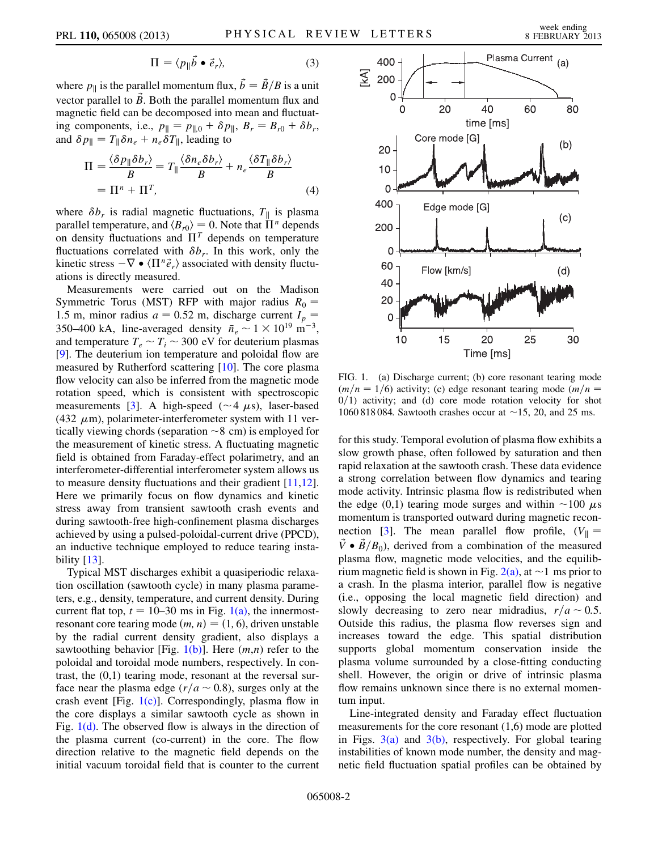$$
\Pi = \langle p_{\parallel} \vec{b} \bullet \vec{e}_r \rangle, \tag{3}
$$

where  $p_{\parallel}$  is the parallel momentum flux,  $\vec{b} = \vec{B}/B$  is a unit vector parallel to  $\vec{B}$ . Both the parallel momentum flux and magnetic field can be decomposed into mean and fluctuating components, i.e.,  $p_{\parallel} = p_{\parallel,0} + \delta p_{\parallel}$ ,  $B_r = B_{r0} + \delta b_r$ , and  $\delta p_{\parallel} = T_{\parallel} \delta n_e + n_e \delta T_{\parallel}$ , leading to

$$
\Pi = \frac{\langle \delta p_{\parallel} \delta b_r \rangle}{B} = T_{\parallel} \frac{\langle \delta n_e \delta b_r \rangle}{B} + n_e \frac{\langle \delta T_{\parallel} \delta b_r \rangle}{B}
$$

$$
= \Pi^n + \Pi^T,
$$
(4)

where  $\delta b_r$  is radial magnetic fluctuations,  $T_{\parallel}$  is plasma parallel temperature, and  $\langle B_{r0} \rangle = 0$ . Note that  $\Pi^n$  depends on density fluctuations and  $\Pi^T$  depends on temperature fluctuations correlated with  $\delta b_r$ . In this work, only the kinetic stress  $-\nabla \bullet \langle \Pi^n \vec{e}_r \rangle$  associated with density fluctuations is directly measured.

Measurements were carried out on the Madison Symmetric Torus (MST) RFP with major radius  $R_0 =$ 1.5 m, minor radius  $a = 0.52$  m, discharge current  $I_p =$ 350–400 kA, line-averaged density  $\bar{n}_e \sim 1 \times 10^{19} \text{ m}^{-3}$ , and temperature  $T_e \sim T_i \sim 300$  eV for deuterium plasmas [\[9\]](#page-4-4). The deuterium ion temperature and poloidal flow are measured by Rutherford scattering [\[10\]](#page-4-5). The core plasma flow velocity can also be inferred from the magnetic mode rotation speed, which is consistent with spectroscopic measurements [\[3](#page-3-2)]. A high-speed ( $\sim$  4  $\mu$ s), laser-based (432  $\mu$ m), polarimeter-interferometer system with 11 vertically viewing chords (separation  $\sim$  8 cm) is employed for the measurement of kinetic stress. A fluctuating magnetic field is obtained from Faraday-effect polarimetry, and an interferometer-differential interferometer system allows us to measure density fluctuations and their gradient  $[11,12]$  $[11,12]$ . Here we primarily focus on flow dynamics and kinetic stress away from transient sawtooth crash events and during sawtooth-free high-confinement plasma discharges achieved by using a pulsed-poloidal-current drive (PPCD), an inductive technique employed to reduce tearing instability  $[13]$  $[13]$  $[13]$ .

Typical MST discharges exhibit a quasiperiodic relaxation oscillation (sawtooth cycle) in many plasma parameters, e.g., density, temperature, and current density. During current flat top,  $t = 10-30$  ms in Fig. [1\(a\)](#page-1-0), the innermostresonant core tearing mode  $(m, n) = (1, 6)$ , driven unstable by the radial current density gradient, also displays a sawtoothing behavior [Fig. [1\(b\)](#page-1-0)]. Here  $(m, n)$  refer to the poloidal and toroidal mode numbers, respectively. In contrast, the (0,1) tearing mode, resonant at the reversal surface near the plasma edge ( $r/a \sim 0.8$ ), surges only at the crash event [Fig.  $1(c)$ ]. Correspondingly, plasma flow in the core displays a similar sawtooth cycle as shown in Fig.  $1(d)$ . The observed flow is always in the direction of the plasma current (co-current) in the core. The flow direction relative to the magnetic field depends on the initial vacuum toroidal field that is counter to the current



<span id="page-1-0"></span>FIG. 1. (a) Discharge current; (b) core resonant tearing mode  $(m/n = 1/6)$  activity; (c) edge resonant tearing mode  $(m/n = 1/6)$  $0/1$ ) activity; and (d) core mode rotation velocity for shot 1060 818 084. Sawtooth crashes occur at  $\sim$  15, 20, and 25 ms.

for this study. Temporal evolution of plasma flow exhibits a slow growth phase, often followed by saturation and then rapid relaxation at the sawtooth crash. These data evidence a strong correlation between flow dynamics and tearing mode activity. Intrinsic plasma flow is redistributed when the edge (0,1) tearing mode surges and within  $\sim$ 100  $\mu$ s momentum is transported outward during magnetic recon-nection [\[3](#page-3-2)]. The mean parallel flow profile,  $(V_{\parallel} =$  $\vec{V} \cdot \vec{B}/B_0$ , derived from a combination of the measured plasma flow, magnetic mode velocities, and the equilibrium magnetic field is shown in Fig.  $2(a)$ , at  $\sim$  1 ms prior to a crash. In the plasma interior, parallel flow is negative (i.e., opposing the local magnetic field direction) and slowly decreasing to zero near midradius,  $r/a \sim 0.5$ . Outside this radius, the plasma flow reverses sign and increases toward the edge. This spatial distribution supports global momentum conservation inside the plasma volume surrounded by a close-fitting conducting shell. However, the origin or drive of intrinsic plasma flow remains unknown since there is no external momentum input.

Line-integrated density and Faraday effect fluctuation measurements for the core resonant (1,6) mode are plotted in Figs.  $3(a)$  and  $3(b)$ , respectively. For global tearing instabilities of known mode number, the density and magnetic field fluctuation spatial profiles can be obtained by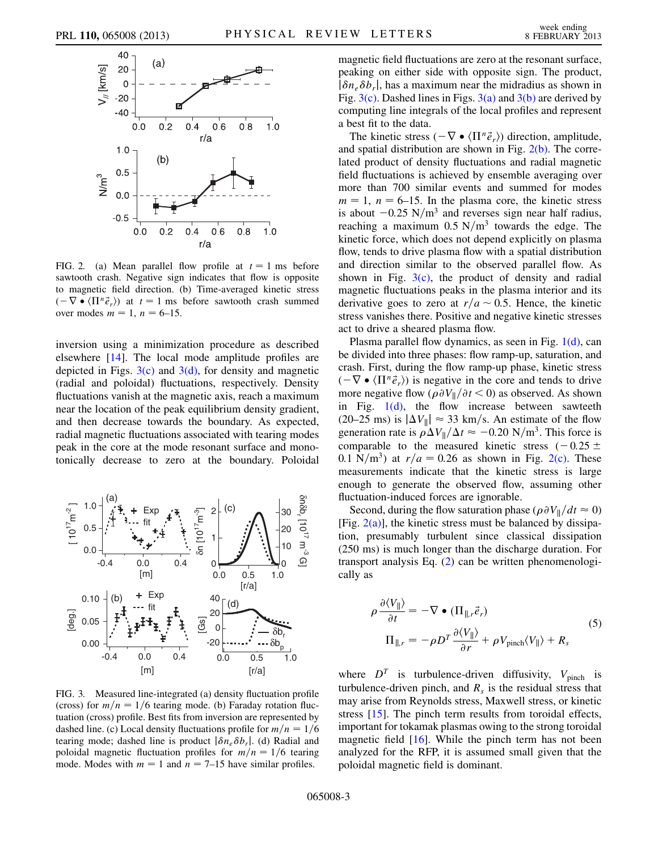

<span id="page-2-0"></span>FIG. 2. (a) Mean parallel flow profile at  $t = 1$  ms before sawtooth crash. Negative sign indicates that flow is opposite to magnetic field direction. (b) Time-averaged kinetic stress  $(-\nabla \bullet \langle \Pi^n \vec{e}_r \rangle)$  at  $t = 1$  ms before sawtooth crash summed over modes  $m = 1$ ,  $n = 6-15$ .

inversion using a minimization procedure as described elsewhere [\[14\]](#page-4-9). The local mode amplitude profiles are depicted in Figs.  $3(c)$  and  $3(d)$ , for density and magnetic (radial and poloidal) fluctuations, respectively. Density fluctuations vanish at the magnetic axis, reach a maximum near the location of the peak equilibrium density gradient, and then decrease towards the boundary. As expected, radial magnetic fluctuations associated with tearing modes peak in the core at the mode resonant surface and monotonically decrease to zero at the boundary. Poloidal



<span id="page-2-1"></span>FIG. 3. Measured line-integrated (a) density fluctuation profile (cross) for  $m/n = 1/6$  tearing mode. (b) Faraday rotation fluctuation (cross) profile. Best fits from inversion are represented by dashed line. (c) Local density fluctuations profile for  $m/n = 1/6$ tearing mode; dashed line is product  $|\delta n_e \delta b_r|$ . (d) Radial and poloidal magnetic fluctuation profiles for  $m/n = 1/6$  tearing mode. Modes with  $m = 1$  and  $n = 7{\text -}15$  have similar profiles.

magnetic field fluctuations are zero at the resonant surface, peaking on either side with opposite sign. The product,  $|\delta n_e \delta b_r|$ , has a maximum near the midradius as shown in Fig.  $3(c)$ . Dashed lines in Figs.  $3(a)$  and  $3(b)$  are derived by computing line integrals of the local profiles and represent a best fit to the data.

The kinetic stress  $(-\nabla \bullet \langle \Pi^n \vec{e}_r \rangle)$  direction, amplitude, and spatial distribution are shown in Fig.  $2(b)$ . The correlated product of density fluctuations and radial magnetic field fluctuations is achieved by ensemble averaging over more than 700 similar events and summed for modes  $m = 1$ ,  $n = 6-15$ . In the plasma core, the kinetic stress is about  $-0.25$  N/m<sup>3</sup> and reverses sign near half radius, reaching a maximum  $0.5 \text{ N/m}^3$  towards the edge. The kinetic force, which does not depend explicitly on plasma flow, tends to drive plasma flow with a spatial distribution and direction similar to the observed parallel flow. As shown in Fig.  $3(c)$ , the product of density and radial magnetic fluctuations peaks in the plasma interior and its derivative goes to zero at  $r/a \sim 0.5$ . Hence, the kinetic stress vanishes there. Positive and negative kinetic stresses act to drive a sheared plasma flow.

Plasma parallel flow dynamics, as seen in Fig. [1\(d\)](#page-1-0), can be divided into three phases: flow ramp-up, saturation, and crash. First, during the flow ramp-up phase, kinetic stress  $(-\nabla \bullet \langle \Pi^n \vec{e}_r \rangle)$  is negative in the core and tends to drive more negative flow  $(\rho \partial V_{\parallel}/\partial t < 0)$  as observed. As shown in Fig.  $1(d)$ , the flow increase between sawteeth (20–25 ms) is  $|\Delta V_{\parallel}| \approx 33$  km/s. An estimate of the flow generation rate is  $\rho \Delta V_{\parallel}/\Delta t \approx -0.20 \text{ N/m}^3$ . This force is comparable to the measured kinetic stress  $(-0.25 \pm$ 0.1 N/m<sup>3</sup>) at  $r/a = 0.26$  as shown in Fig. [2\(c\).](#page-2-0) These measurements indicate that the kinetic stress is large enough to generate the observed flow, assuming other fluctuation-induced forces are ignorable.

Second, during the flow saturation phase ( $\rho \partial V_{\parallel}/dt \approx 0$ ) [Fig.  $2(a)$ ], the kinetic stress must be balanced by dissipation, presumably turbulent since classical dissipation (250 ms) is much longer than the discharge duration. For transport analysis Eq. [\(2\)](#page-0-1) can be written phenomenologically as

$$
\rho \frac{\partial \langle V_{\parallel} \rangle}{\partial t} = -\nabla \bullet (\Pi_{\parallel, r} \vec{e}_r)
$$
  

$$
\Pi_{\parallel, r} = -\rho D^T \frac{\partial \langle V_{\parallel} \rangle}{\partial r} + \rho V_{\text{pinch}} \langle V_{\parallel} \rangle + R_s
$$
 (5)

where  $D<sup>T</sup>$  is turbulence-driven diffusivity,  $V_{\text{pinch}}$  is turbulence-driven pinch, and  $R_s$  is the residual stress that may arise from Reynolds stress, Maxwell stress, or kinetic stress [[15](#page-4-10)]. The pinch term results from toroidal effects, important for tokamak plasmas owing to the strong toroidal magnetic field [\[16\]](#page-4-11). While the pinch term has not been analyzed for the RFP, it is assumed small given that the poloidal magnetic field is dominant.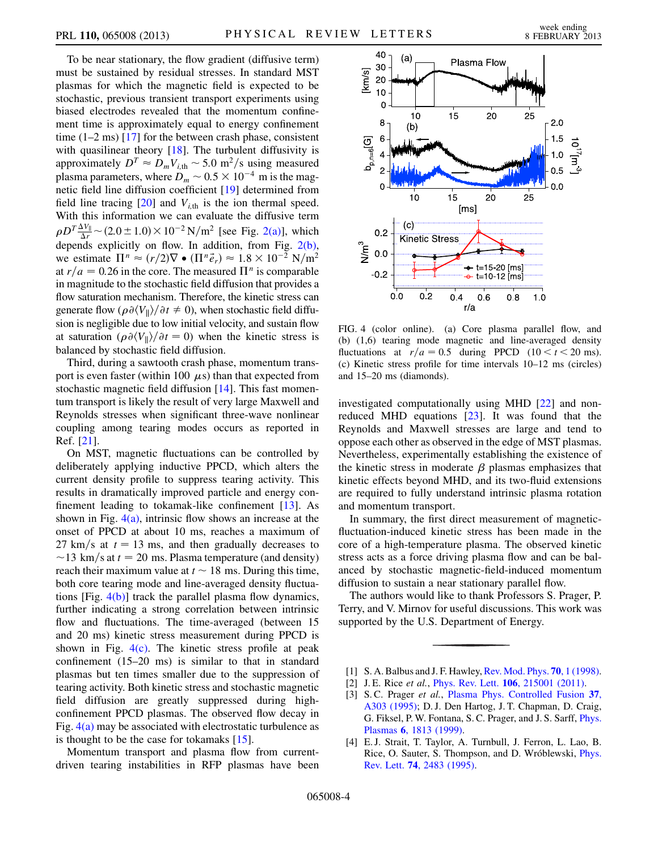To be near stationary, the flow gradient (diffusive term) must be sustained by residual stresses. In standard MST plasmas for which the magnetic field is expected to be stochastic, previous transient transport experiments using biased electrodes revealed that the momentum confinement time is approximately equal to energy confinement time  $(1-2 \text{ ms})$  [[17](#page-4-12)] for the between crash phase, consistent with quasilinear theory [\[18\]](#page-4-13). The turbulent diffusivity is approximately  $D^T \approx D_m V_{i, \text{th}} \sim 5.0 \text{ m}^2/\text{s}$  using measured plasma parameters, where  $D_m \sim 0.5 \times 10^{-4}$  m is the magnetic field line diffusion coefficient [[19](#page-4-14)] determined from field line tracing  $[20]$  and  $V_{i,th}$  is the ion thermal speed. With this information we can evaluate the diffusive term  $\rho D^T \frac{\Delta V_{\parallel}}{\Delta r}$  ~ (2.0 ± 1.0) × 10<sup>-2</sup> N/m<sup>2</sup> [see Fig. [2\(a\)\]](#page-2-0), which depends explicitly on flow. In addition, from Fig. [2\(b\)](#page-2-0), we estimate  $\Pi^n \approx (r/2)\nabla \bullet (\Pi^n \vec{e}_r) \approx 1.8 \times 10^{-2} \text{ N/m}^2$ at  $r/a = 0.26$  in the core. The measured  $\Pi^n$  is comparable in magnitude to the stochastic field diffusion that provides a flow saturation mechanism. Therefore, the kinetic stress can generate flow  $(\rho \partial \langle V_{\parallel} \rangle / \partial t \neq 0)$ , when stochastic field diffusion is negligible due to low initial velocity, and sustain flow at saturation  $(\rho \partial \langle V_{\parallel} \rangle / \partial t = 0)$  when the kinetic stress is balanced by stochastic field diffusion.

Third, during a sawtooth crash phase, momentum transport is even faster (within 100  $\mu$ s) than that expected from stochastic magnetic field diffusion [\[14\]](#page-4-9). This fast momentum transport is likely the result of very large Maxwell and Reynolds stresses when significant three-wave nonlinear coupling among tearing modes occurs as reported in Ref. [\[21\]](#page-4-16).

On MST, magnetic fluctuations can be controlled by deliberately applying inductive PPCD, which alters the current density profile to suppress tearing activity. This results in dramatically improved particle and energy confinement leading to tokamak-like confinement  $[13]$  $[13]$  $[13]$ . As shown in Fig.  $4(a)$ , intrinsic flow shows an increase at the onset of PPCD at about 10 ms, reaches a maximum of 27 km/s at  $t = 13$  ms, and then gradually decreases to  $\sim$ 13 km/s at  $t = 20$  ms. Plasma temperature (and density) reach their maximum value at  $t \sim 18$  ms. During this time, both core tearing mode and line-averaged density fluctuations [Fig. [4\(b\)\]](#page-3-4) track the parallel plasma flow dynamics, further indicating a strong correlation between intrinsic flow and fluctuations. The time-averaged (between 15 and 20 ms) kinetic stress measurement during PPCD is shown in Fig.  $4(c)$ . The kinetic stress profile at peak confinement (15–20 ms) is similar to that in standard plasmas but ten times smaller due to the suppression of tearing activity. Both kinetic stress and stochastic magnetic field diffusion are greatly suppressed during highconfinement PPCD plasmas. The observed flow decay in Fig.  $4(a)$  may be associated with electrostatic turbulence as is thought to be the case for tokamaks [\[15\]](#page-4-10).

Momentum transport and plasma flow from currentdriven tearing instabilities in RFP plasmas have been



<span id="page-3-4"></span>FIG. 4 (color online). (a) Core plasma parallel flow, and (b) (1,6) tearing mode magnetic and line-averaged density fluctuations at  $r/a = 0.5$  during PPCD (10 < t < 20 ms). (c) Kinetic stress profile for time intervals 10–12 ms (circles) and 15–20 ms (diamonds).

investigated computationally using MHD [[22\]](#page-4-17) and nonreduced MHD equations [[23\]](#page-4-18). It was found that the Reynolds and Maxwell stresses are large and tend to oppose each other as observed in the edge of MST plasmas. Nevertheless, experimentally establishing the existence of the kinetic stress in moderate  $\beta$  plasmas emphasizes that kinetic effects beyond MHD, and its two-fluid extensions are required to fully understand intrinsic plasma rotation and momentum transport.

In summary, the first direct measurement of magneticfluctuation-induced kinetic stress has been made in the core of a high-temperature plasma. The observed kinetic stress acts as a force driving plasma flow and can be balanced by stochastic magnetic-field-induced momentum diffusion to sustain a near stationary parallel flow.

The authors would like to thank Professors S. Prager, P. Terry, and V. Mirnov for useful discussions. This work was supported by the U.S. Department of Energy.

- <span id="page-3-1"></span><span id="page-3-0"></span>[1] S. A. Balbus and J. F. Hawley, [Rev. Mod. Phys.](http://dx.doi.org/10.1103/RevModPhys.70.1) **70**, 1 (1998).
- <span id="page-3-2"></span>[2] J. E. Rice et al., *Phys. Rev. Lett.* **106**[, 215001 \(2011\).](http://dx.doi.org/10.1103/PhysRevLett.106.215001)
- [3] S.C. Prager et al., [Plasma Phys. Controlled Fusion](http://dx.doi.org/10.1088/0741-3335/37/11A/021) 37, [A303 \(1995\)](http://dx.doi.org/10.1088/0741-3335/37/11A/021); D. J. Den Hartog, J. T. Chapman, D. Craig, G. Fiksel, P. W. Fontana, S. C. Prager, and J. S. Sarff, [Phys.](http://dx.doi.org/10.1063/1.873439) Plasmas 6[, 1813 \(1999\)](http://dx.doi.org/10.1063/1.873439).
- <span id="page-3-3"></span>[4] E. J. Strait, T. Taylor, A. Turnbull, J. Ferron, L. Lao, B. Rice, O. Sauter, S. Thompson, and D. Wróblewski, *[Phys.](http://dx.doi.org/10.1103/PhysRevLett.74.2483)* Rev. Lett. 74[, 2483 \(1995\).](http://dx.doi.org/10.1103/PhysRevLett.74.2483)